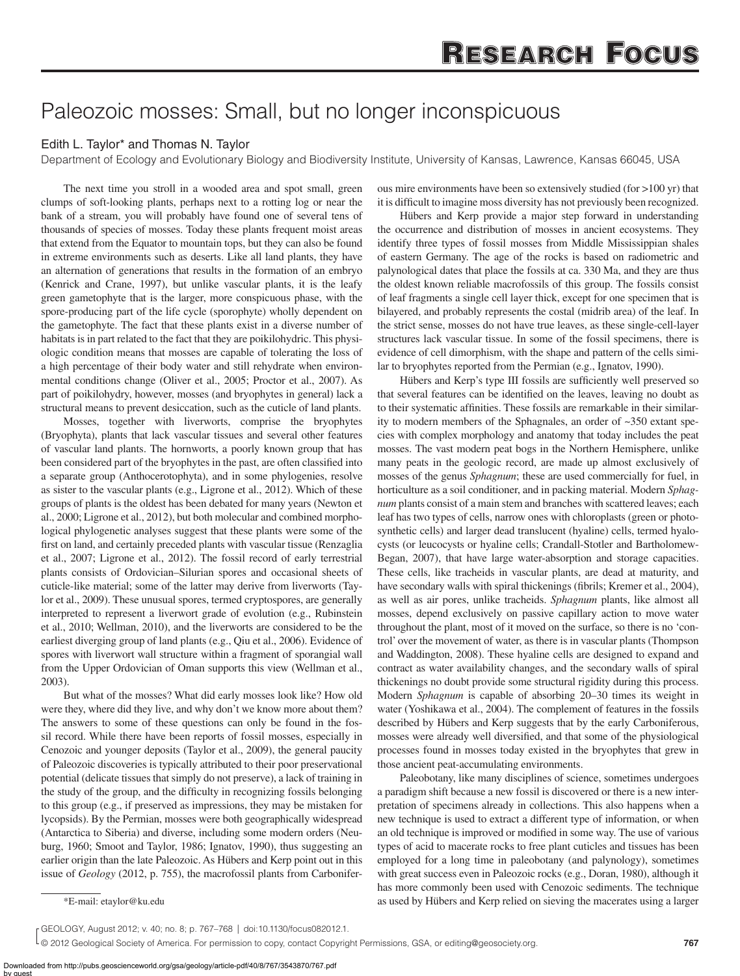## Paleozoic mosses: Small, but no longer inconspicuous

## Edith L. Taylor\* and Thomas N. Taylor

Department of Ecology and Evolutionary Biology and Biodiversity Institute, University of Kansas, Lawrence, Kansas 66045, USA

The next time you stroll in a wooded area and spot small, green clumps of soft-looking plants, perhaps next to a rotting log or near the bank of a stream, you will probably have found one of several tens of thousands of species of mosses. Today these plants frequent moist areas that extend from the Equator to mountain tops, but they can also be found in extreme environments such as deserts. Like all land plants, they have an alternation of generations that results in the formation of an embryo (Kenrick and Crane, 1997), but unlike vascular plants, it is the leafy green gametophyte that is the larger, more conspicuous phase, with the spore-producing part of the life cycle (sporophyte) wholly dependent on the gametophyte. The fact that these plants exist in a diverse number of habitats is in part related to the fact that they are poikilohydric. This physiologic condition means that mosses are capable of tolerating the loss of a high percentage of their body water and still rehydrate when environmental conditions change (Oliver et al., 2005; Proctor et al., 2007). As part of poikilohydry, however, mosses (and bryophytes in general) lack a structural means to prevent desiccation, such as the cuticle of land plants.

Mosses, together with liverworts, comprise the bryophytes (Bryophyta), plants that lack vascular tissues and several other features of vascular land plants. The hornworts, a poorly known group that has been considered part of the bryophytes in the past, are often classified into a separate group (Anthocerotophyta), and in some phylogenies, resolve as sister to the vascular plants (e.g., Ligrone et al., 2012). Which of these groups of plants is the oldest has been debated for many years (Newton et al., 2000; Ligrone et al., 2012), but both molecular and combined morphological phylogenetic analyses suggest that these plants were some of the first on land, and certainly preceded plants with vascular tissue (Renzaglia et al., 2007; Ligrone et al., 2012). The fossil record of early terrestrial plants consists of Ordovician–Silurian spores and occasional sheets of cuticle-like material; some of the latter may derive from liverworts (Taylor et al., 2009). These unusual spores, termed cryptospores, are generally interpreted to represent a liverwort grade of evolution (e.g., Rubinstein et al., 2010; Wellman, 2010), and the liverworts are considered to be the earliest diverging group of land plants (e.g., Qiu et al., 2006). Evidence of spores with liverwort wall structure within a fragment of sporangial wall from the Upper Ordovician of Oman supports this view (Wellman et al., 2003).

But what of the mosses? What did early mosses look like? How old were they, where did they live, and why don't we know more about them? The answers to some of these questions can only be found in the fossil record. While there have been reports of fossil mosses, especially in Cenozoic and younger deposits (Taylor et al., 2009), the general paucity of Paleozoic discoveries is typically attributed to their poor preservational potential (delicate tissues that simply do not preserve), a lack of training in the study of the group, and the difficulty in recognizing fossils belonging to this group (e.g., if preserved as impressions, they may be mistaken for lycopsids). By the Permian, mosses were both geographically widespread (Antarctica to Siberia) and diverse, including some modern orders (Neuburg, 1960; Smoot and Taylor, 1986; Ignatov, 1990), thus suggesting an earlier origin than the late Paleozoic. As Hübers and Kerp point out in this issue of *Geology* (2012, p. 755), the macrofossil plants from Carboniferous mire environments have been so extensively studied (for >100 yr) that it is difficult to imagine moss diversity has not previously been recognized.

Hübers and Kerp provide a major step forward in understanding the occurrence and distribution of mosses in ancient ecosystems. They identify three types of fossil mosses from Middle Mississippian shales of eastern Germany. The age of the rocks is based on radiometric and palynological dates that place the fossils at ca. 330 Ma, and they are thus the oldest known reliable macrofossils of this group. The fossils consist of leaf fragments a single cell layer thick, except for one specimen that is bilayered, and probably represents the costal (midrib area) of the leaf. In the strict sense, mosses do not have true leaves, as these single-cell-layer structures lack vascular tissue. In some of the fossil specimens, there is evidence of cell dimorphism, with the shape and pattern of the cells similar to bryophytes reported from the Permian (e.g., Ignatov, 1990).

Hübers and Kerp's type III fossils are sufficiently well preserved so that several features can be identified on the leaves, leaving no doubt as to their systematic affinities. These fossils are remarkable in their similarity to modern members of the Sphagnales, an order of ~350 extant species with complex morphology and anatomy that today includes the peat mosses. The vast modern peat bogs in the Northern Hemisphere, unlike many peats in the geologic record, are made up almost exclusively of mosses of the genus *Sphagnum*; these are used commercially for fuel, in horticulture as a soil conditioner, and in packing material. Modern *Sphagnum* plants consist of a main stem and branches with scattered leaves; each leaf has two types of cells, narrow ones with chloroplasts (green or photosynthetic cells) and larger dead translucent (hyaline) cells, termed hyalocysts (or leucocysts or hyaline cells; Crandall-Stotler and Bartholomew-Began, 2007), that have large water-absorption and storage capacities. These cells, like tracheids in vascular plants, are dead at maturity, and have secondary walls with spiral thickenings (fibrils; Kremer et al., 2004), as well as air pores, unlike tracheids. *Sphagnum* plants, like almost all mosses, depend exclusively on passive capillary action to move water throughout the plant, most of it moved on the surface, so there is no 'control' over the movement of water, as there is in vascular plants (Thompson and Waddington, 2008). These hyaline cells are designed to expand and contract as water availability changes, and the secondary walls of spiral thickenings no doubt provide some structural rigidity during this process. Modern *Sphagnum* is capable of absorbing 20–30 times its weight in water (Yoshikawa et al., 2004). The complement of features in the fossils described by Hübers and Kerp suggests that by the early Carboniferous, mosses were already well diversified, and that some of the physiological processes found in mosses today existed in the bryophytes that grew in those ancient peat-accumulating environments.

Paleobotany, like many disciplines of science, sometimes undergoes a paradigm shift because a new fossil is discovered or there is a new interpretation of specimens already in collections. This also happens when a new technique is used to extract a different type of information, or when an old technique is improved or modified in some way. The use of various types of acid to macerate rocks to free plant cuticles and tissues has been employed for a long time in paleobotany (and palynology), sometimes with great success even in Paleozoic rocks (e.g., Doran, 1980), although it has more commonly been used with Cenozoic sediments. The technique \*E-mail: etaylor@ku.edu as used by Hübers and Kerp relied on sieving the macerates using a larger

GEOLOGY, August 2012; v. 40; no. 8; p. 767–768 | doi:10.1130/focus082012.1.

<sup>© 2012</sup> Geological Society of America. For permission to copy, contact Copyright Permissions, GSA, or editing@geosociety.org.